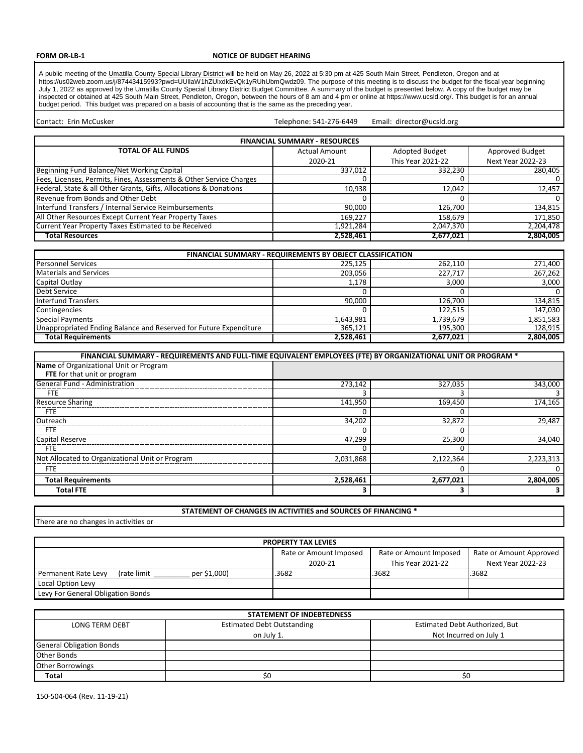### **FORM OR-LB-1**

#### **NOTICE OF BUDGET HEARING**

A public meeting of the Umatilla County Special Library District will be held on May 26, 2022 at 5:30 pm at 425 South Main Street, Pendleton, Oregon and at https://us02web.zoom.us/j/87443415993?pwd=UUllaW1hZUlxdkEvQk1yRUhUbmQwdz09. The purpose of this meeting is to discuss the budget for the fiscal year beginning July 1, 2022 as approved by the Umatilla County Special Library District Budget Committee. A summary of the budget is presented below. A copy of the budget may be inspected or obtained at 425 South Main Street, Pendleton, Oregon, between the hours of 8 am and 4 pm or online at https://www.ucsld.org/. This budget is for an annual budget period. This budget was prepared on a basis of accounting that is the same as the preceding year.

Telephone: 541-276-6449 Contact: Erin McCusker **Email:** director@ucsld.org Email: director@ucsld.org

| <b>FINANCIAL SUMMARY - RESOURCES</b>                                |                      |                          |                          |  |  |  |  |  |  |  |
|---------------------------------------------------------------------|----------------------|--------------------------|--------------------------|--|--|--|--|--|--|--|
| <b>TOTAL OF ALL FUNDS</b>                                           | <b>Actual Amount</b> | Adopted Budget           | Approved Budget          |  |  |  |  |  |  |  |
|                                                                     | 2020-21              | <b>This Year 2021-22</b> | <b>Next Year 2022-23</b> |  |  |  |  |  |  |  |
| Beginning Fund Balance/Net Working Capital                          | 337,012              | 332,230                  | 280,405                  |  |  |  |  |  |  |  |
| Fees, Licenses, Permits, Fines, Assessments & Other Service Charges |                      |                          |                          |  |  |  |  |  |  |  |
| Federal, State & all Other Grants, Gifts, Allocations & Donations   | 10,938               | 12,042                   | 12,457                   |  |  |  |  |  |  |  |
| Revenue from Bonds and Other Debt                                   |                      |                          |                          |  |  |  |  |  |  |  |
| Interfund Transfers / Internal Service Reimbursements               | 90.000               | 126,700                  | 134,815                  |  |  |  |  |  |  |  |
| All Other Resources Except Current Year Property Taxes              | 169,227              | 158,679                  | 171,850                  |  |  |  |  |  |  |  |
| Current Year Property Taxes Estimated to be Received                | 1,921,284            | 2,047,370                | 2,204,478                |  |  |  |  |  |  |  |
| <b>Total Resources</b>                                              | 2,528,461            | 2,677,021                | 2,804,005                |  |  |  |  |  |  |  |

| <b>FINANCIAL SUMMARY - REQUIREMENTS BY OBJECT CLASSIFICATION</b>  |           |           |           |  |  |  |  |  |  |  |
|-------------------------------------------------------------------|-----------|-----------|-----------|--|--|--|--|--|--|--|
| <b>Personnel Services</b>                                         | 225.125   | 262.110   | 271,400   |  |  |  |  |  |  |  |
| <b>Materials and Services</b>                                     | 203.056   | 227.717   | 267,262   |  |  |  |  |  |  |  |
| Capital Outlay                                                    | 1.178     | 3.000     | 3,000     |  |  |  |  |  |  |  |
| Debt Service                                                      |           |           |           |  |  |  |  |  |  |  |
| Interfund Transfers                                               | 90,000    | 126.700   | 134,815   |  |  |  |  |  |  |  |
| Contingencies                                                     |           | 122.515   | 147,030   |  |  |  |  |  |  |  |
| <b>Special Payments</b>                                           | 1,643,981 | 1,739,679 | 1,851,583 |  |  |  |  |  |  |  |
| Unappropriated Ending Balance and Reserved for Future Expenditure | 365,121   | 195.300   | 128.915   |  |  |  |  |  |  |  |
| <b>Total Requirements</b>                                         | 2,528,461 | 2,677,021 | 2.804.005 |  |  |  |  |  |  |  |

| FINANCIAL SUMMARY - REQUIREMENTS AND FULL-TIME EQUIVALENT EMPLOYEES (FTE) BY ORGANIZATIONAL UNIT OR PROGRAM * |           |           |                      |
|---------------------------------------------------------------------------------------------------------------|-----------|-----------|----------------------|
| Name of Organizational Unit or Program                                                                        |           |           |                      |
| FTE for that unit or program                                                                                  |           |           |                      |
| General Fund - Administration                                                                                 | 273.142   | 327,035   | $\overline{343,000}$ |
| <b>FTE</b>                                                                                                    |           |           |                      |
| <b>Resource Sharing</b>                                                                                       | 141,950   | 169,450   | 174,165              |
| <b>FTE</b>                                                                                                    |           |           |                      |
| Outreach                                                                                                      | 34,202    | 32,872    | 29.487               |
| <b>FTE</b>                                                                                                    |           |           |                      |
| Capital Reserve                                                                                               | 47.299    | 25.300    | 34.040               |
| <b>FTE</b>                                                                                                    |           |           |                      |
| Not Allocated to Organizational Unit or Program                                                               | 2,031,868 | 2,122,364 | 2,223,313            |
| <b>FTE</b>                                                                                                    |           |           |                      |
| <b>Total Requirements</b>                                                                                     | 2.528.461 | 2.677.021 | 2.804.005            |
| <b>Total FTE</b>                                                                                              |           |           |                      |

**STATEMENT OF CHANGES IN ACTIVITIES and SOURCES OF FINANCING \***

There are no changes in activities or

| <b>PROPERTY TAX LEVIES</b>                          |                        |                        |                         |  |  |  |  |  |  |  |
|-----------------------------------------------------|------------------------|------------------------|-------------------------|--|--|--|--|--|--|--|
|                                                     | Rate or Amount Imposed | Rate or Amount Imposed | Rate or Amount Approved |  |  |  |  |  |  |  |
|                                                     | 2020-21                | This Year 2021-22      | Next Year 2022-23       |  |  |  |  |  |  |  |
| per \$1,000)<br>(rate limit)<br>Permanent Rate Levy | .3682                  | .3682                  | .3682                   |  |  |  |  |  |  |  |
| Local Option Levy                                   |                        |                        |                         |  |  |  |  |  |  |  |
| Levy For General Obligation Bonds                   |                        |                        |                         |  |  |  |  |  |  |  |

|                                 | <b>STATEMENT OF INDEBTEDNESS</b>  |                                |  |  |  |  |  |  |  |  |  |
|---------------------------------|-----------------------------------|--------------------------------|--|--|--|--|--|--|--|--|--|
| LONG TERM DEBT                  | <b>Estimated Debt Outstanding</b> | Estimated Debt Authorized, But |  |  |  |  |  |  |  |  |  |
|                                 | on July 1.                        | Not Incurred on July 1         |  |  |  |  |  |  |  |  |  |
| <b>General Obligation Bonds</b> |                                   |                                |  |  |  |  |  |  |  |  |  |
| <b>Other Bonds</b>              |                                   |                                |  |  |  |  |  |  |  |  |  |
| <b>Other Borrowings</b>         |                                   |                                |  |  |  |  |  |  |  |  |  |
| <b>Total</b>                    |                                   |                                |  |  |  |  |  |  |  |  |  |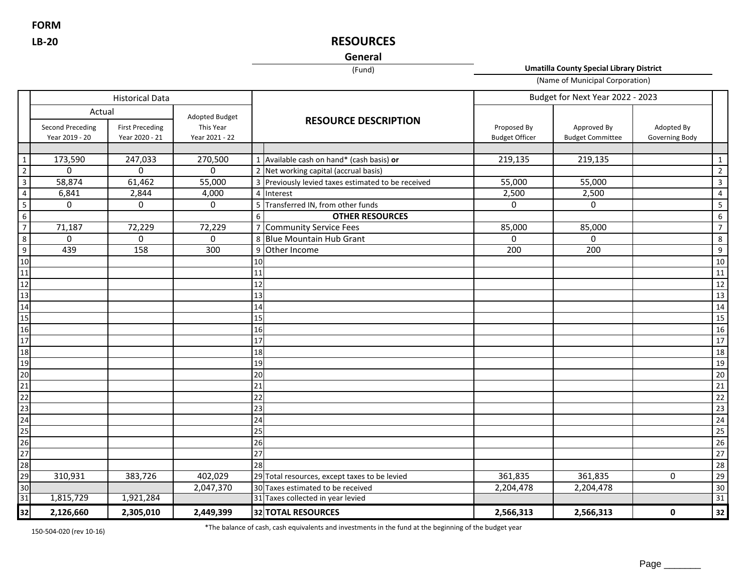**FORM LB-20**

# **RESOURCES**

# **General**

(Fund)

**Umatilla County Special Library District**

(Name of Municipal Corporation)

|                                                                                                                                                                                                                                                                                                                                                                                                                                                                                                                                                  | <b>Historical Data</b>                    |                                          |                             |    |                                                    | Budget for Next Year 2022 - 2023     |                                        |                              |                 |
|--------------------------------------------------------------------------------------------------------------------------------------------------------------------------------------------------------------------------------------------------------------------------------------------------------------------------------------------------------------------------------------------------------------------------------------------------------------------------------------------------------------------------------------------------|-------------------------------------------|------------------------------------------|-----------------------------|----|----------------------------------------------------|--------------------------------------|----------------------------------------|------------------------------|-----------------|
|                                                                                                                                                                                                                                                                                                                                                                                                                                                                                                                                                  | Actual                                    |                                          | Adopted Budget              |    | <b>RESOURCE DESCRIPTION</b>                        |                                      |                                        |                              |                 |
|                                                                                                                                                                                                                                                                                                                                                                                                                                                                                                                                                  | <b>Second Preceding</b><br>Year 2019 - 20 | <b>First Preceding</b><br>Year 2020 - 21 | This Year<br>Year 2021 - 22 |    |                                                    | Proposed By<br><b>Budget Officer</b> | Approved By<br><b>Budget Committee</b> | Adopted By<br>Governing Body |                 |
|                                                                                                                                                                                                                                                                                                                                                                                                                                                                                                                                                  |                                           |                                          |                             |    |                                                    |                                      |                                        |                              |                 |
| $\boxed{1}$                                                                                                                                                                                                                                                                                                                                                                                                                                                                                                                                      | 173,590                                   | 247,033                                  | 270,500                     |    | 1 Available cash on hand* (cash basis) or          | 219,135                              | 219,135                                |                              | $\mathbf{1}$    |
| $\overline{2}$                                                                                                                                                                                                                                                                                                                                                                                                                                                                                                                                   | $\mathbf 0$                               | 0                                        | 0                           |    | 2 Net working capital (accrual basis)              |                                      |                                        |                              | $\overline{2}$  |
| $\overline{\mathbf{3}}$                                                                                                                                                                                                                                                                                                                                                                                                                                                                                                                          | 58,874                                    | 61,462                                   | 55,000                      |    | 3 Previously levied taxes estimated to be received | 55,000                               | 55,000                                 |                              | 3               |
| $\overline{4}$                                                                                                                                                                                                                                                                                                                                                                                                                                                                                                                                   | 6,841                                     | 2,844                                    | 4,000                       |    | 4 Interest                                         | 2,500                                | 2,500                                  |                              | 4               |
| $5\overline{)}$                                                                                                                                                                                                                                                                                                                                                                                                                                                                                                                                  | 0                                         | 0                                        | 0                           |    | 5 Transferred IN, from other funds                 | 0                                    | 0                                      |                              | 5               |
| $6\overline{6}$                                                                                                                                                                                                                                                                                                                                                                                                                                                                                                                                  |                                           |                                          |                             | 6  | <b>OTHER RESOURCES</b>                             |                                      |                                        |                              | $\,$ 6 $\,$     |
| $\overline{7}$                                                                                                                                                                                                                                                                                                                                                                                                                                                                                                                                   | 71,187                                    | 72,229                                   | 72,229                      |    | 7 Community Service Fees                           | 85,000                               | 85,000                                 |                              | $\overline{7}$  |
| $\overline{8}$                                                                                                                                                                                                                                                                                                                                                                                                                                                                                                                                   | $\Omega$                                  | 0                                        | 0                           |    | 8 Blue Mountain Hub Grant                          | $\Omega$                             | $\Omega$                               |                              | 8               |
| $\overline{9}$                                                                                                                                                                                                                                                                                                                                                                                                                                                                                                                                   | 439                                       | 158                                      | 300                         |    | 9 Other Income                                     | 200                                  | 200                                    |                              | 9               |
| $\frac{10}{11}$                                                                                                                                                                                                                                                                                                                                                                                                                                                                                                                                  |                                           |                                          |                             | 10 |                                                    |                                      |                                        |                              | $10\,$          |
|                                                                                                                                                                                                                                                                                                                                                                                                                                                                                                                                                  |                                           |                                          |                             | 11 |                                                    |                                      |                                        |                              | 11              |
| 12                                                                                                                                                                                                                                                                                                                                                                                                                                                                                                                                               |                                           |                                          |                             | 12 |                                                    |                                      |                                        |                              | 12              |
| 13                                                                                                                                                                                                                                                                                                                                                                                                                                                                                                                                               |                                           |                                          |                             | 13 |                                                    |                                      |                                        |                              | 13              |
| 14                                                                                                                                                                                                                                                                                                                                                                                                                                                                                                                                               |                                           |                                          |                             | 14 |                                                    |                                      |                                        |                              | 14              |
|                                                                                                                                                                                                                                                                                                                                                                                                                                                                                                                                                  |                                           |                                          |                             | 15 |                                                    |                                      |                                        |                              | 15              |
|                                                                                                                                                                                                                                                                                                                                                                                                                                                                                                                                                  |                                           |                                          |                             | 16 |                                                    |                                      |                                        |                              | 16              |
|                                                                                                                                                                                                                                                                                                                                                                                                                                                                                                                                                  |                                           |                                          |                             | 17 |                                                    |                                      |                                        |                              | 17              |
|                                                                                                                                                                                                                                                                                                                                                                                                                                                                                                                                                  |                                           |                                          |                             | 18 |                                                    |                                      |                                        |                              | 18              |
|                                                                                                                                                                                                                                                                                                                                                                                                                                                                                                                                                  |                                           |                                          |                             | 19 |                                                    |                                      |                                        |                              | 19              |
|                                                                                                                                                                                                                                                                                                                                                                                                                                                                                                                                                  |                                           |                                          |                             | 20 |                                                    |                                      |                                        |                              | 20              |
|                                                                                                                                                                                                                                                                                                                                                                                                                                                                                                                                                  |                                           |                                          |                             | 21 |                                                    |                                      |                                        |                              | $\overline{21}$ |
|                                                                                                                                                                                                                                                                                                                                                                                                                                                                                                                                                  |                                           |                                          |                             | 22 |                                                    |                                      |                                        |                              | 22              |
|                                                                                                                                                                                                                                                                                                                                                                                                                                                                                                                                                  |                                           |                                          |                             | 23 |                                                    |                                      |                                        |                              | 23              |
|                                                                                                                                                                                                                                                                                                                                                                                                                                                                                                                                                  |                                           |                                          |                             | 24 |                                                    |                                      |                                        |                              | 24              |
|                                                                                                                                                                                                                                                                                                                                                                                                                                                                                                                                                  |                                           |                                          |                             | 25 |                                                    |                                      |                                        |                              | 25              |
|                                                                                                                                                                                                                                                                                                                                                                                                                                                                                                                                                  |                                           |                                          |                             | 26 |                                                    |                                      |                                        |                              | 26              |
|                                                                                                                                                                                                                                                                                                                                                                                                                                                                                                                                                  |                                           |                                          |                             | 27 |                                                    |                                      |                                        |                              | $\overline{27}$ |
|                                                                                                                                                                                                                                                                                                                                                                                                                                                                                                                                                  |                                           |                                          |                             | 28 |                                                    |                                      |                                        |                              | 28              |
|                                                                                                                                                                                                                                                                                                                                                                                                                                                                                                                                                  | 310,931                                   | 383,726                                  | 402,029                     |    | 29 Total resources, except taxes to be levied      | 361,835                              | 361,835                                | 0                            | 29              |
|                                                                                                                                                                                                                                                                                                                                                                                                                                                                                                                                                  |                                           |                                          | 2,047,370                   |    | 30 Taxes estimated to be received                  | 2,204,478                            | 2,204,478                              |                              | 30              |
| 15<br>16<br>17<br>18<br>19<br>20<br>21<br>22<br>23<br>24<br>25<br>26<br>27<br>28<br>29<br>33<br>1<br><br><br>30<br>33<br><br><br><br><br><br>32<br>32<br>33<br>34<br>35<br>36<br>34<br>35<br>36<br>32<br>34<br>32<br>33<br>34<br>34<br>35<br>36<br>32<br>34<br>34<br>34<br>35<br>36<br>32<br>34<br>34<br>35<br>36<br>3<br>32<br>33<br>34<br>35<br>36<br>3<br>34<br>3<br>3<br>3<br>3<br>3 <br< td=""><td>1,815,729</td><td>1,921,284</td><td></td><td></td><td>31 Taxes collected in year levied</td><td></td><td></td><td></td><td>31</td></br<> | 1,815,729                                 | 1,921,284                                |                             |    | 31 Taxes collected in year levied                  |                                      |                                        |                              | 31              |
|                                                                                                                                                                                                                                                                                                                                                                                                                                                                                                                                                  | 2,126,660                                 | 2,305,010                                | 2,449,399                   |    | 32 TOTAL RESOURCES                                 | 2,566,313                            | 2,566,313                              | $\mathbf 0$                  | $32$            |

150-504-020 (rev 10-16)

\*The balance of cash, cash equivalents and investments in the fund at the beginning of the budget year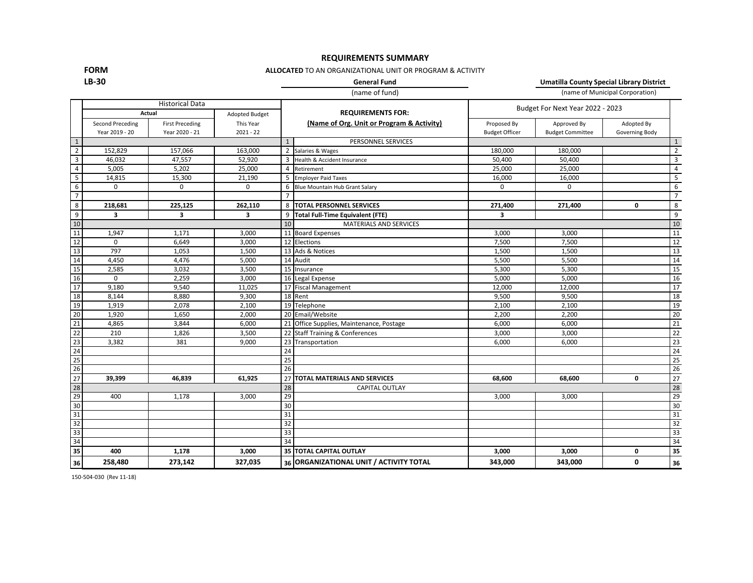**FORM**

# **REQUIREMENTS SUMMARY**

### **ALLOCATED** TO AN ORGANIZATIONAL UNIT OR PROGRAM & ACTIVITY

**LB-30**

**General Fund Umatilla County Special Library District**

|                         |                                    |                                          |                          |                                           | (name of fund)                           | (name of Municipal Corporation)      |                                        |                              |                         |
|-------------------------|------------------------------------|------------------------------------------|--------------------------|-------------------------------------------|------------------------------------------|--------------------------------------|----------------------------------------|------------------------------|-------------------------|
|                         |                                    | <b>Historical Data</b><br>Actual         | Adopted Budget           |                                           | <b>REQUIREMENTS FOR:</b>                 |                                      | Budget For Next Year 2022 - 2023       |                              |                         |
|                         | Second Preceding<br>Year 2019 - 20 | <b>First Preceding</b><br>Year 2020 - 21 | This Year<br>$2021 - 22$ | (Name of Org. Unit or Program & Activity) |                                          | Proposed By<br><b>Budget Officer</b> | Approved By<br><b>Budget Committee</b> | Adopted By<br>Governing Body |                         |
| $\,$ 1                  |                                    |                                          |                          | $\mathbf{1}$                              | PERSONNEL SERVICES                       |                                      |                                        |                              | $1\,$                   |
| $\overline{2}$          | 152,829                            | 157,066                                  | 163,000                  |                                           | 2 Salaries & Wages                       | 180.000                              | 180,000                                |                              | $\overline{2}$          |
| $\overline{\mathbf{3}}$ | 46,032                             | 47,557                                   | 52,920                   | 3                                         | Health & Accident Insurance              | 50,400                               | 50,400                                 |                              | $\overline{\mathbf{3}}$ |
| $\overline{4}$          | 5,005                              | 5,202                                    | 25,000                   | $\overline{4}$                            | Retirement                               | 25,000                               | 25,000                                 |                              | $\overline{4}$          |
| $\overline{\mathbf{5}}$ | 14,815                             | 15,300                                   | 21,190                   | 5                                         | <b>Employer Paid Taxes</b>               | 16,000                               | 16,000                                 |                              | 5                       |
| 6                       | $\Omega$                           | $\Omega$                                 | $\Omega$                 | 6                                         | Blue Mountain Hub Grant Salary           | $\Omega$                             | 0                                      |                              | 6                       |
| $\overline{7}$          |                                    |                                          |                          | $\overline{7}$                            |                                          |                                      |                                        |                              | $\overline{7}$          |
| 8                       | 218,681                            | 225,125                                  | 262,110                  | 8                                         | <b>TOTAL PERSONNEL SERVICES</b>          | 271,400                              | 271,400                                | 0                            | 8                       |
| 9                       | $\overline{\mathbf{3}}$            | 3                                        | 3                        | 9                                         | <b>Total Full-Time Equivalent (FTE)</b>  | 3                                    |                                        |                              | $\boldsymbol{9}$        |
| 10                      |                                    |                                          |                          | 10                                        | <b>MATERIALS AND SERVICES</b>            |                                      |                                        |                              | $\overline{10}$         |
| 11                      | 1,947                              | 1,171                                    | 3,000                    |                                           | 11 Board Expenses                        | 3,000                                | 3,000                                  |                              | 11                      |
| 12                      | $\mathbf 0$                        | 6,649                                    | 3,000                    |                                           | 12 Elections                             | 7,500                                | 7,500                                  |                              | 12                      |
| 13                      | 797                                | 1,053                                    | 1,500                    |                                           | 13 Ads & Notices                         | 1,500                                | 1,500                                  |                              | 13                      |
| 14                      | 4,450                              | 4,476                                    | 5,000                    |                                           | 14 Audit                                 | 5,500                                | 5,500                                  |                              | 14                      |
| 15                      | 2,585                              | 3,032                                    | 3,500                    |                                           | 15 Insurance                             | 5,300                                | 5,300                                  |                              | 15                      |
| 16                      | $\Omega$                           | 2,259                                    | 3,000                    |                                           | 16 Legal Expense                         | 5,000                                | 5,000                                  |                              | 16                      |
| 17                      | 9,180                              | 9,540                                    | 11,025                   |                                           | 17 Fiscal Management                     | 12,000                               | 12,000                                 |                              | 17                      |
| 18                      | 8,144                              | 8,880                                    | 9,300                    |                                           | 18 Rent                                  | 9,500                                | 9,500                                  |                              | 18                      |
| 19                      | 1,919                              | 2,078                                    | 2,100                    |                                           | 19 Telephone                             | 2,100                                | 2,100                                  |                              | 19                      |
| 20                      | 1,920                              | 1,650                                    | 2,000                    |                                           | 20 Email/Website                         | 2,200                                | 2,200                                  |                              | 20                      |
| 21                      | 4,865                              | 3,844                                    | 6,000                    |                                           | 21 Office Supplies, Maintenance, Postage | 6,000                                | 6,000                                  |                              | 21                      |
| 22                      | 210                                | 1,826                                    | 3,500                    |                                           | 22 Staff Training & Conferences          | 3,000                                | 3,000                                  |                              | 22                      |
| 23                      | 3,382                              | 381                                      | 9,000                    | 23                                        | Transportation                           | 6,000                                | 6,000                                  |                              | 23                      |
| 24                      |                                    |                                          |                          | 24                                        |                                          |                                      |                                        |                              | 24                      |
| 25                      |                                    |                                          |                          | $\overline{25}$                           |                                          |                                      |                                        |                              | 25                      |
| 26                      |                                    |                                          |                          | 26                                        |                                          |                                      |                                        |                              | 26                      |
| 27                      | 39,399                             | 46,839                                   | 61,925                   | 27                                        | <b>TOTAL MATERIALS AND SERVICES</b>      | 68,600                               | 68,600                                 | 0                            | 27                      |
| 28                      |                                    |                                          |                          | 28                                        | <b>CAPITAL OUTLAY</b>                    |                                      |                                        |                              | 28                      |
| 29                      | 400                                | 1,178                                    | 3,000                    | 29                                        |                                          | 3,000                                | 3,000                                  |                              | 29                      |
| 30                      |                                    |                                          |                          | 30                                        |                                          |                                      |                                        |                              | 30                      |
| 31                      |                                    |                                          |                          | 31                                        |                                          |                                      |                                        |                              | 31                      |
| $\overline{32}$         |                                    |                                          |                          | 32                                        |                                          |                                      |                                        |                              | 32                      |
| 33                      |                                    |                                          |                          | 33                                        |                                          |                                      |                                        |                              | 33                      |
| 34                      |                                    |                                          |                          | 34                                        |                                          |                                      |                                        |                              | 34                      |
| 35                      | 400                                | 1,178                                    | 3,000                    |                                           | 35 TOTAL CAPITAL OUTLAY                  | 3,000                                | 3,000                                  | 0                            | 35                      |
| 36                      | 258,480                            | 273,142                                  | 327,035                  |                                           | 36 ORGANIZATIONAL UNIT / ACTIVITY TOTAL  | 343,000                              | 343,000                                | 0                            | 36                      |

150-504-030 (Rev 11-18)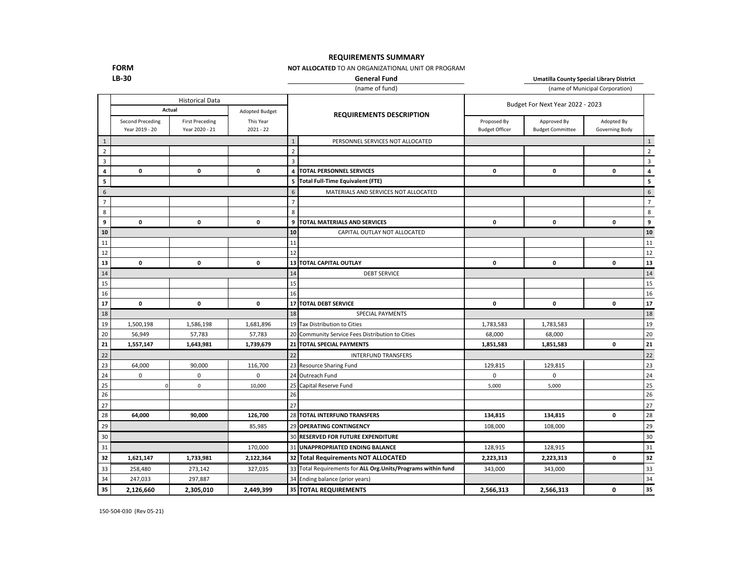### **REQUIREMENTS SUMMARY**

#### **NOT ALLOCATED** TO AN ORGANIZATIONAL UNIT OR PROGRAM

**FORM LB-30**

**General Fund Umatilla County Special Library District**

|                |                                           |                                          |                          |                | (name of fund)                                                | (name of Municipal Corporation)      |                                        |                              |                         |
|----------------|-------------------------------------------|------------------------------------------|--------------------------|----------------|---------------------------------------------------------------|--------------------------------------|----------------------------------------|------------------------------|-------------------------|
|                |                                           | <b>Historical Data</b><br>Actual         | Adopted Budget           |                |                                                               |                                      | Budget For Next Year 2022 - 2023       |                              |                         |
|                | <b>Second Preceding</b><br>Year 2019 - 20 | <b>First Preceding</b><br>Year 2020 - 21 | This Year<br>$2021 - 22$ |                | <b>REQUIREMENTS DESCRIPTION</b>                               | Proposed By<br><b>Budget Officer</b> | Approved By<br><b>Budget Committee</b> | Adopted By<br>Governing Body |                         |
| $\mathbf{1}$   |                                           |                                          |                          | $\mathbf{1}$   | PERSONNEL SERVICES NOT ALLOCATED                              |                                      |                                        |                              | $\mathbf{1}$            |
| $\overline{2}$ |                                           |                                          |                          | $\overline{2}$ |                                                               |                                      |                                        |                              | $\overline{2}$          |
| 3              |                                           |                                          |                          | 3              |                                                               |                                      |                                        |                              | $\overline{\mathbf{3}}$ |
| 4              | 0                                         | $\mathbf 0$                              | $\mathbf 0$              |                | 4   TOTAL PERSONNEL SERVICES                                  | 0                                    | 0                                      | 0                            | 4                       |
| 5              |                                           |                                          |                          |                | 5 Total Full-Time Equivalent (FTE)                            |                                      |                                        |                              | 5                       |
| 6              |                                           |                                          |                          | 6              | MATERIALS AND SERVICES NOT ALLOCATED                          |                                      |                                        |                              | 6                       |
| $\overline{7}$ |                                           |                                          |                          | $\overline{7}$ |                                                               |                                      |                                        |                              | $\overline{7}$          |
| 8              |                                           |                                          |                          | 8              |                                                               |                                      |                                        |                              | 8                       |
| 9              | $\mathbf 0$                               | $\mathbf{0}$                             | $\mathbf 0$              | 9              | <b>TOTAL MATERIALS AND SERVICES</b>                           | 0                                    | $\mathbf 0$                            | $\mathbf 0$                  | 9                       |
| 10             |                                           |                                          |                          | 10             | CAPITAL OUTLAY NOT ALLOCATED                                  |                                      |                                        |                              | 10                      |
| 11             |                                           |                                          |                          | 11             |                                                               |                                      |                                        |                              | 11                      |
| 12             |                                           |                                          |                          | 12             |                                                               |                                      |                                        |                              | 12                      |
| 13             | $\mathbf 0$                               | $\mathbf 0$                              | $\mathbf 0$              |                | 13 TOTAL CAPITAL OUTLAY                                       | 0                                    | $\mathbf 0$                            | 0                            | 13                      |
| 14             |                                           |                                          |                          | 14             | <b>DEBT SERVICE</b>                                           |                                      |                                        |                              | 14                      |
| 15             |                                           |                                          |                          | 15             |                                                               |                                      |                                        |                              | 15                      |
| 16             |                                           |                                          |                          | 16             |                                                               |                                      |                                        |                              | 16                      |
| 17             | $\mathbf 0$                               | $\mathbf{0}$                             | $\mathbf 0$              |                | 17 TOTAL DEBT SERVICE                                         | $\mathbf 0$                          | $\mathbf 0$                            | 0                            | 17                      |
| 18             |                                           |                                          |                          | 18             | SPECIAL PAYMENTS                                              |                                      |                                        |                              | 18                      |
| 19             | 1,500,198                                 | 1,586,198                                | 1,681,896                |                | 19 Tax Distribution to Cities                                 | 1,783,583                            | 1,783,583                              |                              | 19                      |
| 20             | 56,949                                    | 57,783                                   | 57,783                   |                | 20 Community Service Fees Distribution to Cities              | 68,000                               | 68,000                                 |                              | 20                      |
| 21             | 1,557,147                                 | 1,643,981                                | 1,739,679                |                | 21 TOTAL SPECIAL PAYMENTS                                     | 1,851,583                            | 1,851,583                              | 0                            | 21                      |
| 22             |                                           |                                          |                          | 22             | <b>INTERFUND TRANSFERS</b>                                    |                                      |                                        |                              | 22                      |
| 23             | 64,000                                    | 90,000                                   | 116,700                  |                | 23 Resource Sharing Fund                                      | 129,815                              | 129,815                                |                              | 23                      |
| 24             | $\mathsf 0$                               | $\mathsf 0$                              | $\mathbf 0$              |                | 24 Outreach Fund                                              | $\mathbf 0$                          | $\mathsf 0$                            |                              | 24                      |
| 25             |                                           | $\mathsf 0$                              | 10,000                   |                | 25 Capital Reserve Fund                                       | 5,000                                | 5,000                                  |                              | 25                      |
| 26             |                                           |                                          |                          | 26             |                                                               |                                      |                                        |                              | 26                      |
| 27             |                                           |                                          |                          | 27             |                                                               |                                      |                                        |                              | 27                      |
| 28             | 64,000                                    | 90.000                                   | 126,700                  |                | 28 TOTAL INTERFUND TRANSFERS                                  | 134,815                              | 134,815                                | 0                            | 28                      |
| 29             |                                           |                                          | 85,985                   |                | 29 OPERATING CONTINGENCY                                      | 108,000                              | 108,000                                |                              | 29                      |
| 30             |                                           |                                          |                          |                | 30 RESERVED FOR FUTURE EXPENDITURE                            |                                      |                                        |                              | 30                      |
| 31             |                                           |                                          | 170,000                  |                | 31 UNAPPROPRIATED ENDING BALANCE                              | 128,915                              | 128,915                                |                              | 31                      |
| 32             | 1,621,147                                 | 1,733,981                                | 2,122,364                |                | 32 Total Requirements NOT ALLOCATED                           | 2,223,313                            | 2,223,313                              | 0                            | 32                      |
| 33             | 258,480                                   | 273,142                                  | 327,035                  |                | 33 Total Requirements for ALL Org. Units/Programs within fund | 343,000                              | 343,000                                |                              | 33                      |
| 34             | 247,033                                   | 297,887                                  |                          |                | 34 Ending balance (prior years)                               |                                      |                                        |                              | 34                      |
| 35             | 2,126,660                                 | 2,305,010                                | 2,449,399                |                | 35 TOTAL REQUIREMENTS                                         | 2,566,313                            | 2,566,313                              | 0                            | 35                      |

150-504-030 (Rev 05-21)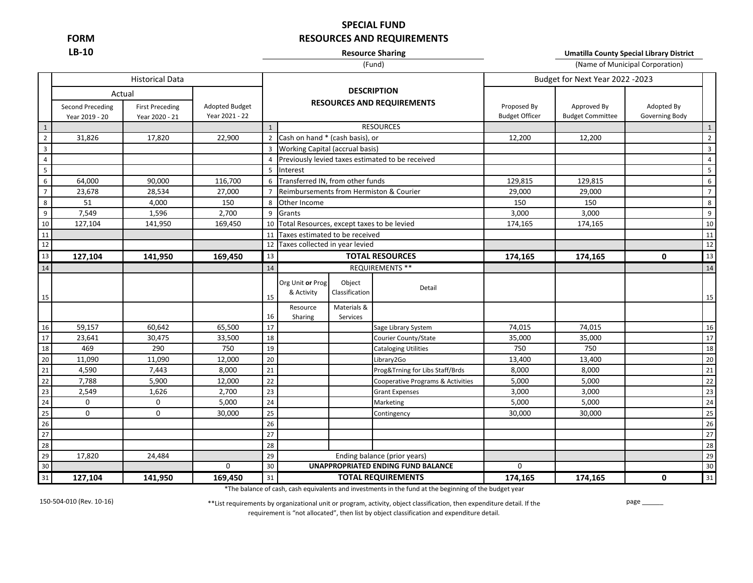**FORM LB-10**

# **SPECIAL FUND RESOURCES AND REQUIREMENTS**

### **Resource Sharing**

**Umatilla County Special Library District**

### (Fund)

|                         |                                    |                                          |                                  |                |                                            |                           | (Fund)                                           | (Name of Municipal Corporation)      |                                        |                              |                |  |
|-------------------------|------------------------------------|------------------------------------------|----------------------------------|----------------|--------------------------------------------|---------------------------|--------------------------------------------------|--------------------------------------|----------------------------------------|------------------------------|----------------|--|
|                         |                                    | <b>Historical Data</b>                   |                                  |                |                                            |                           |                                                  |                                      | Budget for Next Year 2022 -2023        |                              |                |  |
|                         |                                    | Actual                                   |                                  |                |                                            |                           | <b>DESCRIPTION</b>                               |                                      |                                        |                              |                |  |
|                         | Second Preceding<br>Year 2019 - 20 | <b>First Preceding</b><br>Year 2020 - 21 | Adopted Budget<br>Year 2021 - 22 |                |                                            |                           | <b>RESOURCES AND REQUIREMENTS</b>                | Proposed By<br><b>Budget Officer</b> | Approved By<br><b>Budget Committee</b> | Adopted By<br>Governing Body |                |  |
| $\mathbf{1}$            |                                    |                                          |                                  |                |                                            |                           | <b>RESOURCES</b>                                 |                                      |                                        |                              | $\mathbf{1}$   |  |
| $\overline{2}$          | 31,826                             | 17,820                                   | 22,900                           |                | 2 Cash on hand * (cash basis), or          |                           |                                                  | 12,200                               | 12,200                                 |                              | $2^{\circ}$    |  |
| $\mathbf{3}$            |                                    |                                          |                                  |                | 3 Working Capital (accrual basis)          |                           |                                                  |                                      |                                        |                              | $\overline{3}$ |  |
| $\overline{4}$          |                                    |                                          |                                  | $\overline{4}$ |                                            |                           | Previously levied taxes estimated to be received |                                      |                                        |                              | $\overline{4}$ |  |
| $\overline{\mathbf{5}}$ |                                    |                                          |                                  | $\overline{5}$ | Interest                                   |                           |                                                  |                                      |                                        |                              | 5              |  |
| $\overline{6}$          | 64,000                             | 90,000                                   | 116,700                          | 6              | Transferred IN, from other funds           |                           |                                                  | 129,815                              | 129,815                                |                              | 6              |  |
| $\overline{7}$          | 23,678                             | 28,534                                   | 27,000                           | $\overline{7}$ |                                            |                           | Reimbursements from Hermiston & Courier          | 29,000                               | 29,000                                 |                              | $\overline{7}$ |  |
| $\,$ 8 $\,$             | 51                                 | 4,000                                    | 150                              | 8              | Other Income                               |                           |                                                  | 150                                  | 150                                    |                              | 8              |  |
| $\overline{9}$          | 7,549                              | 1,596                                    | 2,700                            | 9              | Grants                                     |                           |                                                  | 3,000                                | 3,000                                  |                              | 9              |  |
| 10                      | 127,104                            | 141,950                                  | 169,450                          | 10             | Total Resources, except taxes to be levied |                           |                                                  | 174,165                              | 174,165                                |                              | 10             |  |
| 11                      |                                    |                                          |                                  | 11             | Taxes estimated to be received             |                           |                                                  |                                      |                                        |                              | 11             |  |
| 12                      |                                    |                                          |                                  | 12             | Taxes collected in year levied             |                           |                                                  |                                      |                                        |                              | 12             |  |
| 13                      | 127,104                            | 141,950                                  | 169,450                          | 13             |                                            |                           | <b>TOTAL RESOURCES</b>                           | 174,165                              | 174,165                                | $\mathbf{0}$                 | 13             |  |
| 14                      |                                    |                                          |                                  | 14             |                                            |                           | REQUIREMENTS **                                  |                                      |                                        |                              | 14             |  |
|                         |                                    |                                          |                                  |                | Org Unit or Prog                           | Object                    | Detail                                           |                                      |                                        |                              |                |  |
| 15                      |                                    |                                          |                                  | 15             | & Activity                                 | Classification            |                                                  |                                      |                                        |                              | 15             |  |
|                         |                                    |                                          |                                  |                | Resource                                   | Materials &               |                                                  |                                      |                                        |                              |                |  |
|                         |                                    |                                          |                                  | 16             | Sharing                                    | Services                  |                                                  |                                      |                                        |                              |                |  |
| 16                      | 59,157                             | 60,642                                   | 65,500                           | 17             |                                            |                           | Sage Library System                              | 74,015                               | 74,015                                 |                              | 16             |  |
| 17                      | 23,641                             | 30,475                                   | 33,500                           | 18             |                                            |                           | Courier County/State                             | 35,000                               | 35,000                                 |                              | 17             |  |
| 18                      | 469                                | 290                                      | 750                              | $19\,$         |                                            |                           | <b>Cataloging Utilities</b>                      | 750                                  | 750                                    |                              | 18             |  |
| 20                      | 11,090                             | 11,090                                   | 12,000                           | 20             |                                            |                           | Library2Go                                       | 13,400                               | 13,400                                 |                              | 20             |  |
| 21                      | 4,590                              | 7,443                                    | 8,000                            | 21             |                                            |                           | Prog&Trning for Libs Staff/Brds                  | 8,000                                | 8,000                                  |                              | 21             |  |
| $\overline{22}$         | 7,788                              | 5,900                                    | 12,000                           | 22             |                                            |                           | Cooperative Programs & Activities                | 5,000                                | 5,000                                  |                              | 22             |  |
| $\overline{23}$         | 2,549                              | 1,626                                    | 2,700                            | 23             |                                            |                           | <b>Grant Expenses</b>                            | 3,000                                | 3,000                                  |                              | 23             |  |
| 24                      | $\mathbf 0$                        | $\mathbf 0$                              | 5,000                            | 24             |                                            |                           | Marketing                                        | 5,000                                | 5,000                                  |                              | 24             |  |
| $\overline{25}$         | 0                                  | $\mathbf 0$                              | 30,000                           | 25             |                                            |                           | Contingency                                      | 30,000                               | 30,000                                 |                              | 25             |  |
| 26                      |                                    |                                          |                                  | 26             |                                            |                           |                                                  |                                      |                                        |                              | 26             |  |
| 27                      |                                    |                                          |                                  | 27             |                                            |                           |                                                  |                                      |                                        |                              | 27             |  |
| 28                      |                                    |                                          |                                  | 28             |                                            |                           |                                                  |                                      |                                        |                              | 28             |  |
| 29                      | 17,820                             | 24,484                                   |                                  | 29             |                                            |                           | Ending balance (prior years)                     |                                      |                                        |                              | 29             |  |
| 30                      |                                    |                                          | 0                                | 30             |                                            |                           | <b>UNAPPROPRIATED ENDING FUND BALANCE</b>        | $\mathbf 0$<br>174,165               |                                        |                              | 30             |  |
| 31                      | 127,104                            | 141,950                                  | 169,450                          | 31             |                                            | <b>TOTAL REQUIREMENTS</b> |                                                  |                                      | 174,165                                | 0                            | 31             |  |

\*The balance of cash, cash equivalents and investments in the fund at the beginning of the budget year

150-504-010 (Rev. 10-16)

\*\*List requirements by organizational unit or program, activity, object classification, then expenditure detail. If the requirement is "not allocated", then list by object classification and expenditure detail.

page \_\_\_\_\_\_\_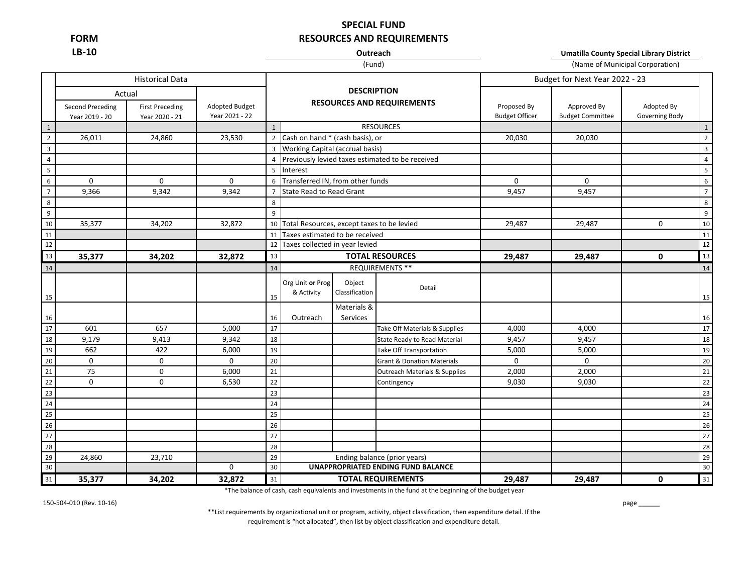**LB-10**

# **SPECIAL FUND FORM RESOURCES AND REQUIREMENTS**

# **Outreach** (Fund)

(Name of Municipal Corporation) **Umatilla County Special Library District**

|                                      |                                              | <b>Historical Data</b>                   |                                         |              |                                                         |                          |                                                    |                                      | Budget for Next Year 2022 - 23         |                              |                |
|--------------------------------------|----------------------------------------------|------------------------------------------|-----------------------------------------|--------------|---------------------------------------------------------|--------------------------|----------------------------------------------------|--------------------------------------|----------------------------------------|------------------------------|----------------|
|                                      | Actual<br>Second Preceding<br>Year 2019 - 20 | <b>First Preceding</b><br>Year 2020 - 21 | <b>Adopted Budget</b><br>Year 2021 - 22 |              | <b>DESCRIPTION</b><br><b>RESOURCES AND REQUIREMENTS</b> |                          |                                                    | Proposed By<br><b>Budget Officer</b> | Approved By<br><b>Budget Committee</b> | Adopted By<br>Governing Body |                |
| $\footnotesize\substack{\textbf{1}}$ |                                              |                                          |                                         | $\mathbf{1}$ |                                                         |                          | <b>RESOURCES</b>                                   |                                      |                                        |                              | $\mathbf{1}$   |
| $\overline{2}$                       | 26,011                                       | 24,860                                   | 23,530                                  |              | 2 Cash on hand * (cash basis), or                       |                          |                                                    | 20,030                               | 20,030                                 |                              | $\overline{2}$ |
| $\overline{\mathbf{3}}$              |                                              |                                          |                                         |              | 3 Working Capital (accrual basis)                       |                          |                                                    |                                      |                                        |                              | $\overline{3}$ |
| $\overline{4}$                       |                                              |                                          |                                         |              |                                                         |                          | 4 Previously levied taxes estimated to be received |                                      |                                        |                              | $\overline{4}$ |
| $5\phantom{a}$                       |                                              |                                          |                                         | 5            | Interest                                                |                          |                                                    |                                      |                                        |                              | 5              |
| 6                                    | $\mathbf 0$                                  | $\mathbf 0$                              | $\mathbf 0$                             | 6            | Transferred IN, from other funds                        |                          |                                                    | $\mathbf 0$                          | 0                                      |                              | 6              |
| $\overline{7}$                       | 9,366                                        | 9,342                                    | 9,342                                   |              | <b>State Read to Read Grant</b>                         |                          |                                                    | 9,457                                | 9,457                                  |                              | $\overline{7}$ |
| 8                                    |                                              |                                          |                                         | 8            |                                                         |                          |                                                    |                                      |                                        |                              | 8              |
| $\boldsymbol{9}$                     |                                              |                                          |                                         | 9            |                                                         |                          |                                                    |                                      |                                        |                              | 9              |
| $10\,$                               | 35,377                                       | 34,202                                   | 32,872                                  |              | 10 Total Resources, except taxes to be levied           |                          |                                                    | 29,487                               | 29,487                                 | $\mathbf 0$                  | 10             |
| 11                                   |                                              |                                          |                                         |              | 11 Taxes estimated to be received                       |                          |                                                    |                                      |                                        |                              | 11             |
| 12                                   |                                              |                                          |                                         |              | 12 Taxes collected in year levied                       |                          |                                                    |                                      |                                        |                              | 12             |
| 13                                   | 35,377                                       | 34,202                                   | 32,872                                  | 13           |                                                         |                          | <b>TOTAL RESOURCES</b>                             | 29,487                               | 29,487                                 | $\mathbf{0}$                 | 13             |
| 14                                   |                                              |                                          |                                         | 14           |                                                         |                          | REQUIREMENTS **                                    |                                      |                                        |                              | 14             |
| 15                                   |                                              |                                          |                                         | 15           | Org Unit or Prog<br>& Activity                          | Object<br>Classification | Detail                                             |                                      |                                        |                              | 15             |
| 16                                   |                                              |                                          |                                         | 16           | Outreach                                                | Materials &<br>Services  |                                                    |                                      |                                        |                              | 16             |
| 17                                   | 601                                          | 657                                      | 5,000                                   | 17           |                                                         |                          | Take Off Materials & Supplies                      | 4,000                                | 4,000                                  |                              | 17             |
| 18                                   | 9,179                                        | 9,413                                    | 9,342                                   | 18           |                                                         |                          | <b>State Ready to Read Material</b>                | 9,457                                | 9,457                                  |                              | 18             |
| 19                                   | 662                                          | 422                                      | 6,000                                   | 19           |                                                         |                          | <b>Take Off Transportation</b>                     | 5,000                                | 5,000                                  |                              | 19             |
| 20                                   | 0                                            | $\mathbf 0$                              | $\mathbf 0$                             | 20           |                                                         |                          | <b>Grant &amp; Donation Materials</b>              | $\mathbf 0$                          | $\mathbf 0$                            |                              | 20             |
| $\overline{21}$                      | 75                                           | $\mathbf 0$                              | 6,000                                   | 21           |                                                         |                          | <b>Outreach Materials &amp; Supplies</b>           | 2,000                                | 2,000                                  |                              | 21             |
| $\overline{22}$                      | $\mathbf 0$                                  | $\mathbf 0$                              | 6,530                                   | 22           |                                                         |                          | Contingency                                        | 9,030                                | 9,030                                  |                              | 22             |
| 23                                   |                                              |                                          |                                         | 23           |                                                         |                          |                                                    |                                      |                                        |                              | 23             |
| 24                                   |                                              |                                          |                                         | 24           |                                                         |                          |                                                    |                                      |                                        |                              | 24             |
| 25                                   |                                              |                                          |                                         | 25           |                                                         |                          |                                                    |                                      |                                        |                              | 25             |
| 26                                   |                                              |                                          |                                         | 26           |                                                         |                          |                                                    |                                      |                                        |                              | 26             |
| 27                                   |                                              |                                          |                                         | 27           |                                                         |                          |                                                    |                                      |                                        |                              | 27             |
| 28                                   |                                              |                                          |                                         | 28           |                                                         |                          |                                                    |                                      |                                        |                              | 28             |
| 29                                   | 24,860                                       | 23,710                                   |                                         | 29           |                                                         |                          | Ending balance (prior years)                       |                                      |                                        |                              | 29             |
| 30                                   |                                              |                                          | 0                                       | 30           | UNAPPROPRIATED ENDING FUND BALANCE                      |                          |                                                    |                                      |                                        |                              | 30             |
| 31                                   | 35,377                                       | 34,202                                   | 32,872                                  | 31           | <b>TOTAL REQUIREMENTS</b>                               |                          |                                                    | 29,487                               | 29,487                                 | 0                            | 31             |

\*The balance of cash, cash equivalents and investments in the fund at the beginning of the budget year

150-504-010 (Rev. 10-16)

\*\*List requirements by organizational unit or program, activity, object classification, then expenditure detail. If the requirement is "not allocated", then list by object classification and expenditure detail.

page \_\_\_\_